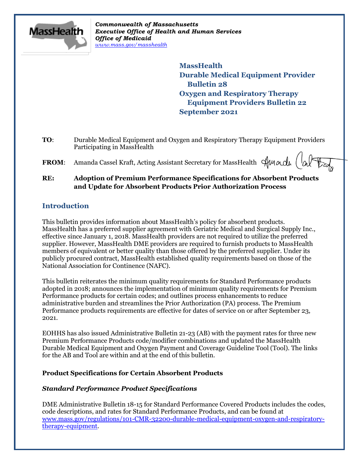

*Commonwealth of Massachusetts Executive Office of Health and Human Services Office of Medicaid [www.mass.gov/masshealth](http://www.mass.gov/masshealth)*

> **MassHealth Durable Medical Equipment Provider Bulletin 28 Oxygen and Respiratory Therapy Equipment Providers Bulletin 22 September 2021**

- **TO**: Durable Medical Equipment and Oxygen and Respiratory Therapy Equipment Providers Participating in MassHealth
- FROM: Amanda Cassel Kraft, Acting Assistant Secretary for MassHealth Sunacle (a)

# **RE: Adoption of Premium Performance Specifications for Absorbent Products and Update for Absorbent Products Prior Authorization Process**

## **Introduction**

This bulletin provides information about MassHealth's policy for absorbent products. MassHealth has a preferred supplier agreement with Geriatric Medical and Surgical Supply Inc., effective since January 1, 2018. MassHealth providers are not required to utilize the preferred supplier. However, MassHealth DME providers are required to furnish products to MassHealth members of equivalent or better quality than those offered by the preferred supplier. Under its publicly procured contract, MassHealth established quality requirements based on those of the National Association for Continence (NAFC).

This bulletin reiterates the minimum quality requirements for Standard Performance products adopted in 2018; announces the implementation of minimum quality requirements for Premium Performance products for certain codes; and outlines process enhancements to reduce administrative burden and streamlines the Prior Authorization (PA) process. The Premium Performance products requirements are effective for dates of service on or after September 23, 2021.

EOHHS has also issued Administrative Bulletin 21-23 (AB) with the payment rates for three new Premium Performance Products code/modifier combinations and updated the MassHealth Durable Medical Equipment and Oxygen Payment and Coverage Guideline Tool (Tool). The links for the AB and Tool are within and at the end of this bulletin.

## **Product Specifications for Certain Absorbent Products**

## *Standard Performance Product Specifications*

DME Administrative Bulletin 18-15 for Standard Performance Covered Products includes the codes, code descriptions, and rates for Standard Performance Products, and can be found at [www.mass.gov/regulations/101-CMR-32200-durable-medical-equipment-oxygen-and-respiratory](https://www.mass.gov/regulations/101-CMR-32200-durable-medical-equipment-oxygen-and-respiratory-therapy-equipment)[therapy-equipment.](https://www.mass.gov/regulations/101-CMR-32200-durable-medical-equipment-oxygen-and-respiratory-therapy-equipment)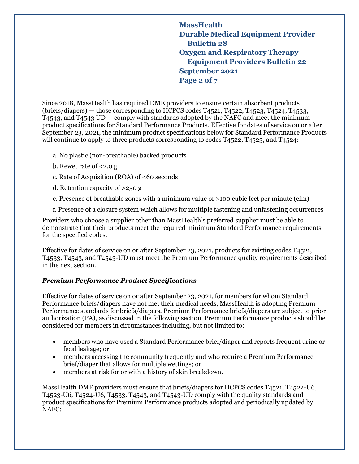**MassHealth Durable Medical Equipment Provider Bulletin 28 Oxygen and Respiratory Therapy Equipment Providers Bulletin 22 September 2021 Page 2 of 7**

Since 2018, MassHealth has required DME providers to ensure certain absorbent products (briefs/diapers) — those corresponding to HCPCS codes T4521, T4522, T4523, T4524, T4533, T4543, and T4543 UD — comply with standards adopted by the NAFC and meet the minimum product specifications for Standard Performance Products. Effective for dates of service on or after September 23, 2021, the minimum product specifications below for Standard Performance Products will continue to apply to three products corresponding to codes T4522, T4523, and T4524:

- a. No plastic (non-breathable) backed products
- b. Rewet rate of  $\leq$  2.0 g
- c. Rate of Acquisition (ROA) of <60 seconds
- d. Retention capacity of >250 g
- e. Presence of breathable zones with a minimum value of >100 cubic feet per minute (cfm)
- f. Presence of a closure system which allows for multiple fastening and unfastening occurrences

Providers who choose a supplier other than MassHealth's preferred supplier must be able to demonstrate that their products meet the required minimum Standard Performance requirements for the specified codes.

Effective for dates of service on or after September 23, 2021, products for existing codes T4521, T4533, T4543, and T4543-UD must meet the Premium Performance quality requirements described in the next section.

## *Premium Performance Product Specifications*

Effective for dates of service on or after September 23, 2021, for members for whom Standard Performance briefs/diapers have not met their medical needs, MassHealth is adopting Premium Performance standards for briefs/diapers. Premium Performance briefs/diapers are subject to prior authorization (PA), as discussed in the following section. Premium Performance products should be considered for members in circumstances including, but not limited to:

- members who have used a Standard Performance brief/diaper and reports frequent urine or fecal leakage; or
- members accessing the community frequently and who require a Premium Performance brief/diaper that allows for multiple wettings; or
- members at risk for or with a history of skin breakdown.

MassHealth DME providers must ensure that briefs/diapers for HCPCS codes T4521, T4522-U6, T4523-U6, T4524-U6, T4533, T4543, and T4543-UD comply with the quality standards and product specifications for Premium Performance products adopted and periodically updated by NAFC: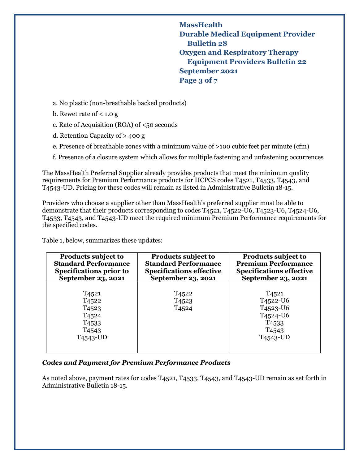**MassHealth Durable Medical Equipment Provider Bulletin 28 Oxygen and Respiratory Therapy Equipment Providers Bulletin 22 September 2021 Page 3 of 7**

a. No plastic (non-breathable backed products)

b. Rewet rate of  $< 1.0 g$ 

c. Rate of Acquisition (ROA) of <50 seconds

d. Retention Capacity of > 400 g

e. Presence of breathable zones with a minimum value of >100 cubic feet per minute (cfm)

f. Presence of a closure system which allows for multiple fastening and unfastening occurrences

The MassHealth Preferred Supplier already provides products that meet the minimum quality requirements for Premium Performance products for HCPCS codes T4521, T4533, T4543, and T4543-UD. Pricing for these codes will remain as listed in Administrative Bulletin 18-15.

Providers who choose a supplier other than MassHealth's preferred supplier must be able to demonstrate that their products corresponding to codes T4521, T4522-U6, T4523-U6, T4524-U6, T4533, T4543, and T4543-UD meet the required minimum Premium Performance requirements for the specified codes.

Table 1, below, summarizes these updates:

| <b>Products subject to</b>                                                                                                                          | Products subject to                                         | <b>Products subject to</b>      |
|-----------------------------------------------------------------------------------------------------------------------------------------------------|-------------------------------------------------------------|---------------------------------|
| <b>Standard Performance</b>                                                                                                                         | <b>Standard Performance</b>                                 | <b>Premium Performance</b>      |
| <b>Specifications prior to</b>                                                                                                                      | <b>Specifications effective</b>                             | <b>Specifications effective</b> |
| September 23, 2021                                                                                                                                  | September 23, 2021                                          | September 23, 2021              |
| T <sub>4521</sub><br>T <sub>4522</sub><br>T <sub>4523</sub><br>T <sub>4524</sub><br>T <sub>4533</sub><br>T <sub>4543</sub><br>T <sub>4543</sub> -UD | T <sub>4522</sub><br>T <sub>4523</sub><br>T <sub>4524</sub> |                                 |

## *Codes and Payment for Premium Performance Products*

As noted above, payment rates for codes T4521, T4533, T4543, and T4543-UD remain as set forth in Administrative Bulletin 18-15.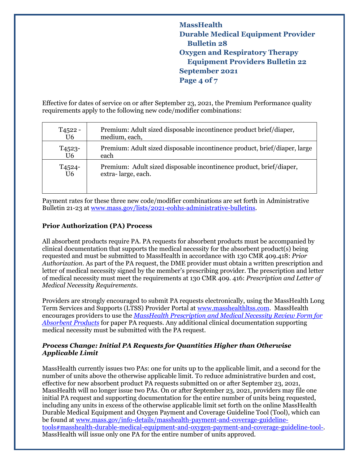# **MassHealth Durable Medical Equipment Provider Bulletin 28 Oxygen and Respiratory Therapy Equipment Providers Bulletin 22 September 2021 Page 4 of 7**

Effective for dates of service on or after September 23, 2021, the Premium Performance quality requirements apply to the following new code/modifier combinations:

| T <sub>4522</sub> - | Premium: Adult sized disposable incontinence product brief/diaper,        |  |
|---------------------|---------------------------------------------------------------------------|--|
| U <sub>6</sub>      | medium, each,                                                             |  |
| T <sub>4523</sub> - | Premium: Adult sized disposable incontinence product, brief/diaper, large |  |
| U <sub>6</sub>      | each                                                                      |  |
| T <sub>4524</sub> - | Premium: Adult sized disposable incontinence product, brief/diaper,       |  |
| U <sub>6</sub>      | extra-large, each.                                                        |  |

Payment rates for these three new code/modifier combinations are set forth in Administrative Bulletin 21-23 at [www.mass.gov/lists/2021-eohhs-administrative-bulletins.](http://www.mass.gov/lists/2021-eohhs-administrative-bulletins)

## **Prior Authorization (PA) Process**

All absorbent products require PA. PA requests for absorbent products must be accompanied by clinical documentation that supports the medical necessity for the absorbent product( $\overline{s}$ ) being requested and must be submitted to MassHealth in accordance with 130 CMR 409.418: *Prior Authorization*. As part of the PA request, the DME provider must obtain a written prescription and letter of medical necessity signed by the member's prescribing provider. The prescription and letter of medical necessity must meet the requirements at 130 CMR 409. 416: *Prescription and Letter of Medical Necessity Requirements*.

Providers are strongly encouraged to submit PA requests electronically, using the MassHealth Long Term Services and Supports (LTSS) Provider Portal at [www.masshealthltss.com.](https://www.masshealthltss.com/) MassHealth encourages providers to use the *[MassHealth Prescription and Medical Necessity Review Form for](https://www.mass.gov/files/documents/2017/11/07/mnr-absorbent.pdf)  [Absorbent Products](https://www.mass.gov/files/documents/2017/11/07/mnr-absorbent.pdf)* for paper PA requests. Any additional clinical documentation supporting medical necessity must be submitted with the PA request.

#### *Process Change: Initial PA Requests for Quantities Higher than Otherwise Applicable Limit*

MassHealth currently issues two PAs: one for units up to the applicable limit, and a second for the number of units above the otherwise applicable limit. To reduce administrative burden and cost, effective for new absorbent product PA requests submitted on or after September 23, 2021, MassHealth will no longer issue two PAs. On or after September 23, 2021, providers may file one initial PA request and supporting documentation for the entire number of units being requested, including any units in excess of the otherwise applicable limit set forth on the online MassHealth Durable Medical Equipment and Oxygen Payment and Coverage Guideline Tool (Tool), which can be found at [www.mass.gov/info-details/masshealth-payment-and-coverage-guideline](http://www.mass.gov/info-details/masshealth-payment-and-coverage-guideline-tools#masshealth-durable-medical-equipment-and-oxygen-payment-and-coverage-guideline-tool-)[tools#masshealth-durable-medical-equipment-and-oxygen-payment-and-coverage-guideline-tool-.](http://www.mass.gov/info-details/masshealth-payment-and-coverage-guideline-tools#masshealth-durable-medical-equipment-and-oxygen-payment-and-coverage-guideline-tool-) MassHealth will issue only one PA for the entire number of units approved.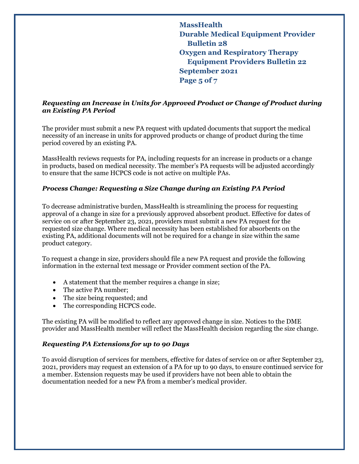**MassHealth Durable Medical Equipment Provider Bulletin 28 Oxygen and Respiratory Therapy Equipment Providers Bulletin 22 September 2021 Page 5 of 7**

## *Requesting an Increase in Units for Approved Product or Change of Product during an Existing PA Period*

The provider must submit a new PA request with updated documents that support the medical necessity of an increase in units for approved products or change of product during the time period covered by an existing PA.

MassHealth reviews requests for PA, including requests for an increase in products or a change in products, based on medical necessity. The member's PA requests will be adjusted accordingly to ensure that the same HCPCS code is not active on multiple PAs.

#### *Process Change: Requesting a Size Change during an Existing PA Period*

To decrease administrative burden, MassHealth is streamlining the process for requesting approval of a change in size for a previously approved absorbent product. Effective for dates of service on or after September 23, 2021, providers must submit a new PA request for the requested size change. Where medical necessity has been established for absorbents on the existing PA, additional documents will not be required for a change in size within the same product category.

To request a change in size, providers should file a new PA request and provide the following information in the external text message or Provider comment section of the PA.

- A statement that the member requires a change in size;
- The active PA number;
- The size being requested; and
- The corresponding HCPCS code.

The existing PA will be modified to reflect any approved change in size. Notices to the DME provider and MassHealth member will reflect the MassHealth decision regarding the size change.

#### *Requesting PA Extensions for up to 90 Days*

To avoid disruption of services for members, effective for dates of service on or after September 23, 2021, providers may request an extension of a PA for up to 90 days, to ensure continued service for a member. Extension requests may be used if providers have not been able to obtain the documentation needed for a new PA from a member's medical provider.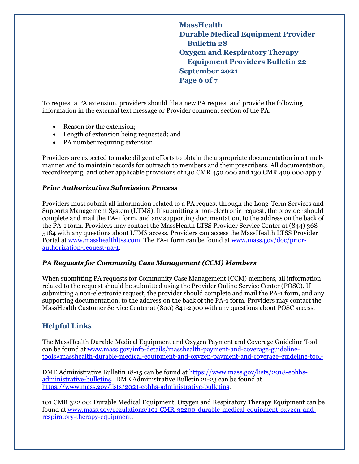**MassHealth Durable Medical Equipment Provider Bulletin 28 Oxygen and Respiratory Therapy Equipment Providers Bulletin 22 September 2021 Page 6 of 7**

To request a PA extension, providers should file a new PA request and provide the following information in the external text message or Provider comment section of the PA.

- Reason for the extension:
- Length of extension being requested; and
- PA number requiring extension.

Providers are expected to make diligent efforts to obtain the appropriate documentation in a timely manner and to maintain records for outreach to members and their prescribers. All documentation, recordkeeping, and other applicable provisions of 130 CMR 450.000 and 130 CMR 409.000 apply.

#### *Prior Authorization Submission Process*

Providers must submit all information related to a PA request through the Long-Term Services and Supports Management System (LTMS). If submitting a non-electronic request, the provider should complete and mail the PA-1 form, and any supporting documentation, to the address on the back of the PA-1 form. Providers may contact the MassHealth LTSS Provider Service Center at (844) 368- 5184 with any questions about LTMS access. Providers can access the MassHealth LTSS Provider Portal at [www.masshealthltss.com.](https://www.masshealthltss.com/s/?language=en_US) The PA-1 form can be found at [www.mass.gov/doc/prior](http://www.mass.gov/doc/prior-authorization-request-pa-1)[authorization-request-pa-1.](http://www.mass.gov/doc/prior-authorization-request-pa-1)

#### *PA Requests for Community Case Management (CCM) Members*

When submitting PA requests for Community Case Management (CCM) members, all information related to the request should be submitted using the Provider Online Service Center (POSC). If submitting a non-electronic request, the provider should complete and mail the PA-1 form, and any supporting documentation, to the address on the back of the PA-1 form. Providers may contact the MassHealth Customer Service Center at (800) 841-2900 with any questions about POSC access.

## **Helpful Links**

The MassHealth Durable Medical Equipment and Oxygen Payment and Coverage Guideline Tool can be found at [www.mass.gov/info-details/masshealth-payment-and-coverage-guideline](http://www.mass.gov/info-details/masshealth-payment-and-coverage-guideline-tools#masshealth-durable-medical-equipment-and-oxygen-payment-and-coverage-guideline-tool-)[tools#masshealth-durable-medical-equipment-and-oxygen-payment-and-coverage-guideline-tool-](http://www.mass.gov/info-details/masshealth-payment-and-coverage-guideline-tools#masshealth-durable-medical-equipment-and-oxygen-payment-and-coverage-guideline-tool-)

DME Administrative Bulletin 18-15 can be found a[t https://www.mass.gov/lists/2018-eohhs](https://www.mass.gov/lists/2018-eohhs-administrative-bulletins)[administrative-bulletins.](https://www.mass.gov/lists/2018-eohhs-administrative-bulletins) DME Administrative Bulletin 21-23 can be found at [https://www.mass.gov/lists/2021-eohhs-administrative-bulletins.](https://www.mass.gov/lists/2021-eohhs-administrative-bulletins)

101 CMR 322.00: Durable Medical Equipment, Oxygen and Respiratory Therapy Equipment can be found at [www.mass.gov/regulations/101-CMR-32200-durable-medical-equipment-oxygen-and](http://www.mass.gov/regulations/101-CMR-32200-durable-medical-equipment-oxygen-and-respiratory-therapy-equipment)[respiratory-therapy-equipment.](http://www.mass.gov/regulations/101-CMR-32200-durable-medical-equipment-oxygen-and-respiratory-therapy-equipment)